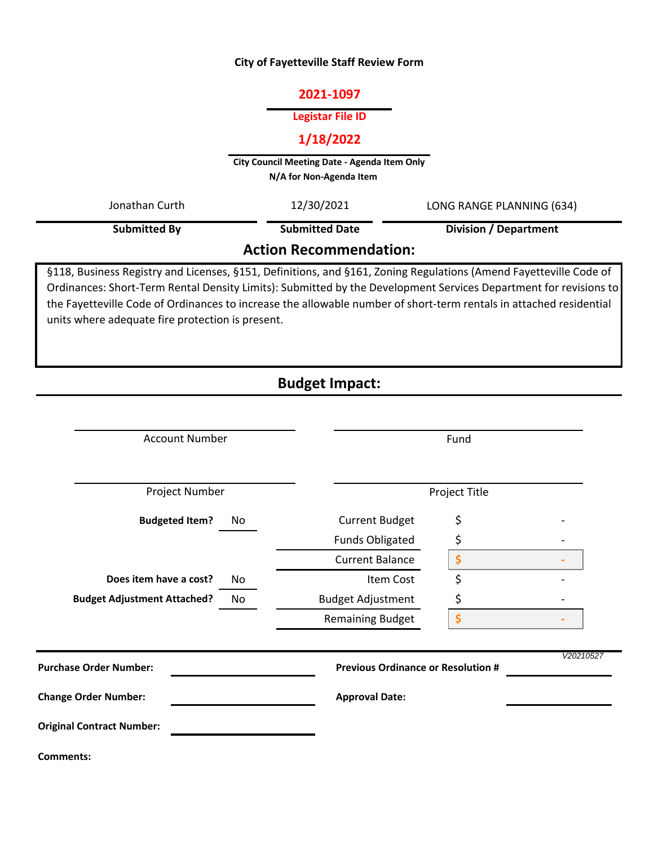# **City of Fayetteville Staff Review Form**

# **2021-1097**

## **Legistar File ID**

# **1/18/2022**

**City Council Meeting Date - Agenda Item Only N/A for Non-Agenda Item** 

**Action Recommendation: Submitted By** Jonathan Curth 12/30/2021 LONG RANGE PLANNING (634) **Division / Department** 12/30/2021 **Submitted Date**

§118, Business Registry and Licenses, §151, Definitions, and §161, Zoning Regulations (Amend Fayetteville Code of Ordinances: Short-Term Rental Density Limits): Submitted by the Development Services Department for revisions to the Fayetteville Code of Ordinances to increase the allowable number of short-term rentals in attached residential units where adequate fire protection is present.

# **Budget Impact:**

| <b>Account Number</b>              |    |                                           | Fund          |           |  |
|------------------------------------|----|-------------------------------------------|---------------|-----------|--|
| Project Number                     |    |                                           | Project Title |           |  |
| <b>Budgeted Item?</b>              | No | <b>Current Budget</b>                     | \$            |           |  |
|                                    |    | <b>Funds Obligated</b>                    | \$            |           |  |
|                                    |    | <b>Current Balance</b>                    | \$            |           |  |
| Does item have a cost?             | No | Item Cost                                 | \$            |           |  |
| <b>Budget Adjustment Attached?</b> | No | <b>Budget Adjustment</b>                  | \$            |           |  |
|                                    |    | <b>Remaining Budget</b>                   | \$            |           |  |
| <b>Purchase Order Number:</b>      |    | <b>Previous Ordinance or Resolution #</b> |               | V20210527 |  |
| <b>Change Order Number:</b>        |    | <b>Approval Date:</b>                     |               |           |  |
| <b>Original Contract Number:</b>   |    |                                           |               |           |  |
| <b>Comments:</b>                   |    |                                           |               |           |  |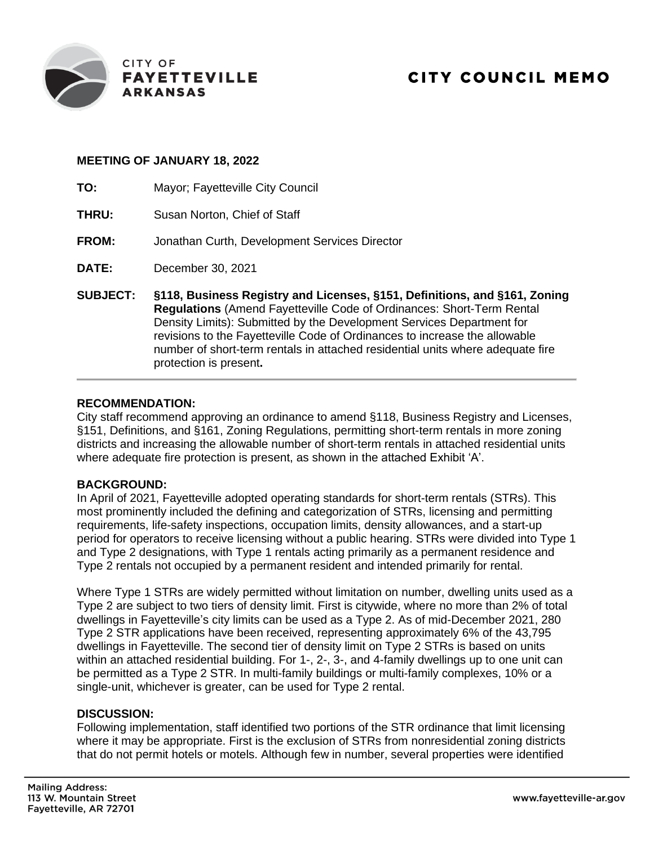

# **MEETING OF JANUARY 18, 2022**

- **TO:** Mayor; Fayetteville City Council
- **THRU:** Susan Norton, Chief of Staff
- **FROM:** Jonathan Curth, Development Services Director
- **DATE:** December 30, 2021
- **SUBJECT: §118, Business Registry and Licenses, §151, Definitions, and §161, Zoning Regulations** (Amend Fayetteville Code of Ordinances: Short-Term Rental Density Limits): Submitted by the Development Services Department for revisions to the Fayetteville Code of Ordinances to increase the allowable number of short-term rentals in attached residential units where adequate fire protection is present**.**

# **RECOMMENDATION:**

City staff recommend approving an ordinance to amend §118, Business Registry and Licenses, §151, Definitions, and §161, Zoning Regulations, permitting short-term rentals in more zoning districts and increasing the allowable number of short-term rentals in attached residential units where adequate fire protection is present, as shown in the attached Exhibit 'A'.

# **BACKGROUND:**

In April of 2021, Fayetteville adopted operating standards for short-term rentals (STRs). This most prominently included the defining and categorization of STRs, licensing and permitting requirements, life-safety inspections, occupation limits, density allowances, and a start-up period for operators to receive licensing without a public hearing. STRs were divided into Type 1 and Type 2 designations, with Type 1 rentals acting primarily as a permanent residence and Type 2 rentals not occupied by a permanent resident and intended primarily for rental.

Where Type 1 STRs are widely permitted without limitation on number, dwelling units used as a Type 2 are subject to two tiers of density limit. First is citywide, where no more than 2% of total dwellings in Fayetteville's city limits can be used as a Type 2. As of mid-December 2021, 280 Type 2 STR applications have been received, representing approximately 6% of the 43,795 dwellings in Fayetteville. The second tier of density limit on Type 2 STRs is based on units within an attached residential building. For 1-, 2-, 3-, and 4-family dwellings up to one unit can be permitted as a Type 2 STR. In multi-family buildings or multi-family complexes, 10% or a single-unit, whichever is greater, can be used for Type 2 rental.

# **DISCUSSION:**

Following implementation, staff identified two portions of the STR ordinance that limit licensing where it may be appropriate. First is the exclusion of STRs from nonresidential zoning districts that do not permit hotels or motels. Although few in number, several properties were identified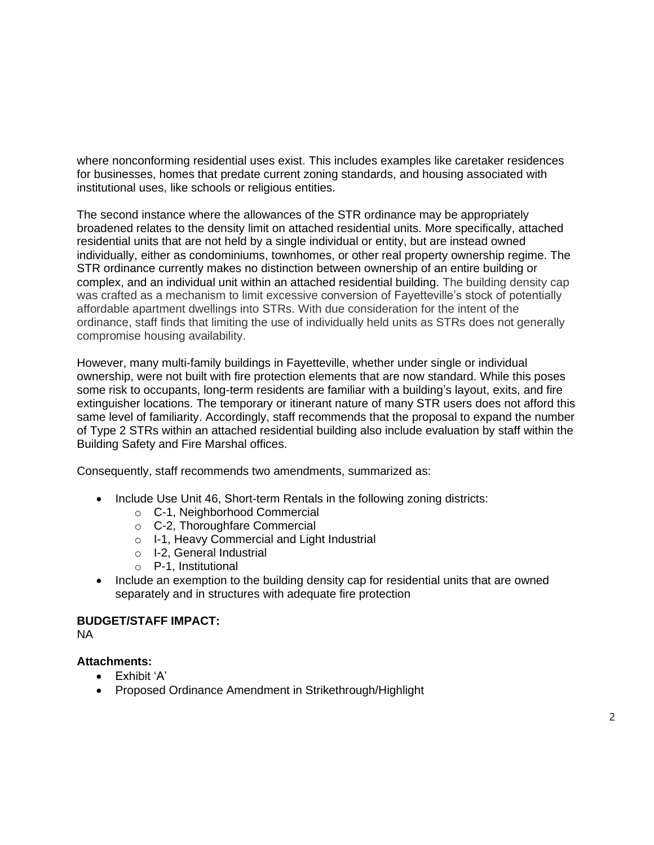where nonconforming residential uses exist. This includes examples like caretaker residences for businesses, homes that predate current zoning standards, and housing associated with institutional uses, like schools or religious entities.

The second instance where the allowances of the STR ordinance may be appropriately broadened relates to the density limit on attached residential units. More specifically, attached residential units that are not held by a single individual or entity, but are instead owned individually, either as condominiums, townhomes, or other real property ownership regime. The STR ordinance currently makes no distinction between ownership of an entire building or complex, and an individual unit within an attached residential building. The building density cap was crafted as a mechanism to limit excessive conversion of Fayetteville's stock of potentially affordable apartment dwellings into STRs. With due consideration for the intent of the ordinance, staff finds that limiting the use of individually held units as STRs does not generally compromise housing availability.

However, many multi-family buildings in Fayetteville, whether under single or individual ownership, were not built with fire protection elements that are now standard. While this poses some risk to occupants, long-term residents are familiar with a building's layout, exits, and fire extinguisher locations. The temporary or itinerant nature of many STR users does not afford this same level of familiarity. Accordingly, staff recommends that the proposal to expand the number of Type 2 STRs within an attached residential building also include evaluation by staff within the Building Safety and Fire Marshal offices.

Consequently, staff recommends two amendments, summarized as:

- Include Use Unit 46, Short-term Rentals in the following zoning districts:
	- o C-1, Neighborhood Commercial
	- o C-2, Thoroughfare Commercial
	- o I-1, Heavy Commercial and Light Industrial
	- o I-2, General Industrial
	- o P-1, Institutional
- Include an exemption to the building density cap for residential units that are owned separately and in structures with adequate fire protection

# **BUDGET/STAFF IMPACT:**

NA

# **Attachments:**

- Exhibit 'A'
- Proposed Ordinance Amendment in Strikethrough/Highlight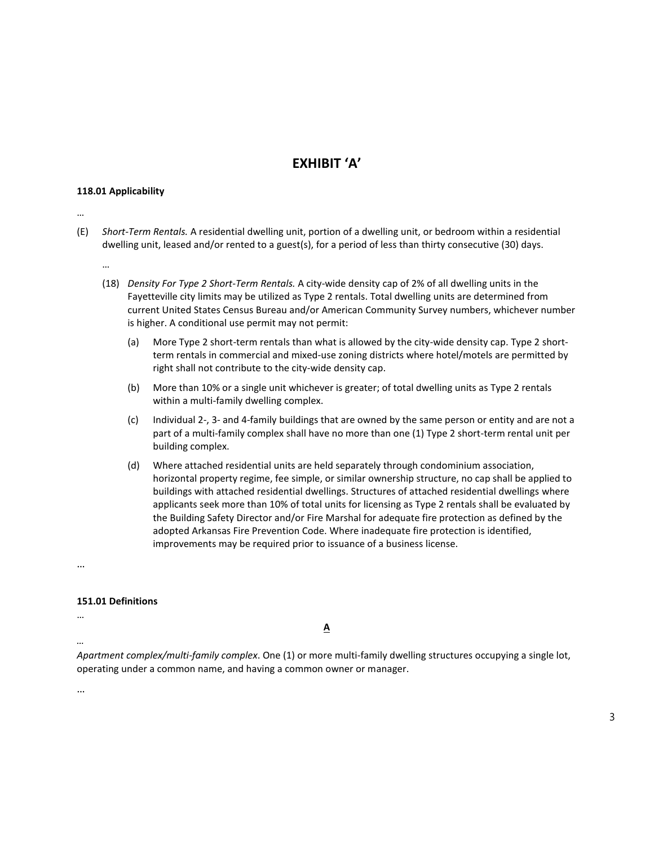# **EXHIBIT 'A'**

### **118.01 Applicability**

- …
- (E) *Short-Term Rentals.* A residential dwelling unit, portion of a dwelling unit, or bedroom within a residential dwelling unit, leased and/or rented to a guest(s), for a period of less than thirty consecutive (30) days.
	- …
	- (18) *Density For Type 2 Short-Term Rentals.* A city-wide density cap of 2% of all dwelling units in the Fayetteville city limits may be utilized as Type 2 rentals. Total dwelling units are determined from current United States Census Bureau and/or American Community Survey numbers, whichever number is higher. A conditional use permit may not permit:
		- (a) More Type 2 short-term rentals than what is allowed by the city-wide density cap. Type 2 shortterm rentals in commercial and mixed-use zoning districts where hotel/motels are permitted by right shall not contribute to the city-wide density cap.
		- (b) More than 10% or a single unit whichever is greater; of total dwelling units as Type 2 rentals within a multi-family dwelling complex.
		- (c) Individual 2-, 3- and 4-family buildings that are owned by the same person or entity and are not a part of a multi-family complex shall have no more than one (1) Type 2 short-term rental unit per building complex.
		- (d) Where attached residential units are held separately through condominium association, horizontal property regime, fee simple, or similar ownership structure, no cap shall be applied to buildings with attached residential dwellings. Structures of attached residential dwellings where applicants seek more than 10% of total units for licensing as Type 2 rentals shall be evaluated by the Building Safety Director and/or Fire Marshal for adequate fire protection as defined by the adopted Arkansas Fire Prevention Code. Where inadequate fire protection is identified, improvements may be required prior to issuance of a business license.

…

### **151.01 Definitions**

…

*…*

**A**

*Apartment complex/multi-family complex*. One (1) or more multi-family dwelling structures occupying a single lot, operating under a common name, and having a common owner or manager.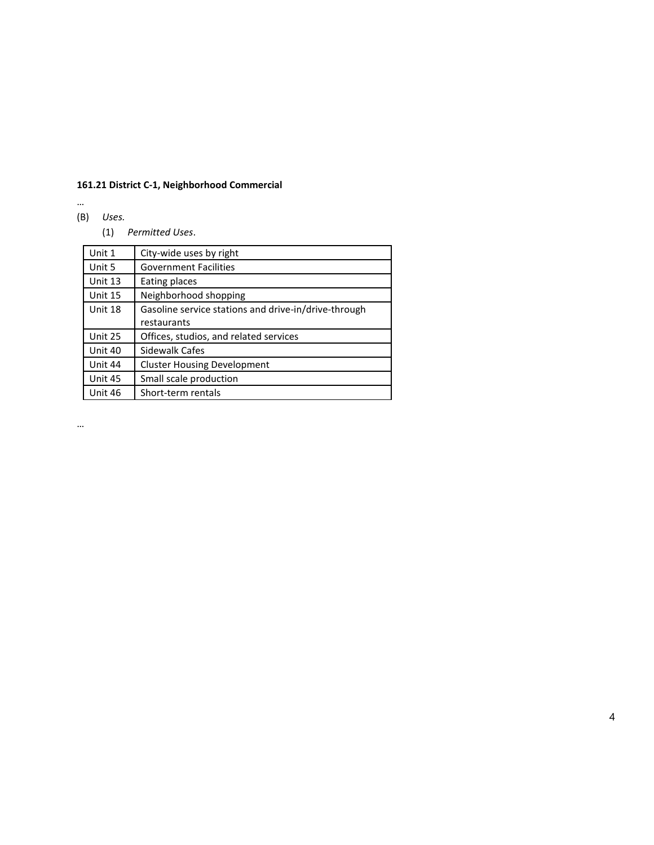# **161.21 District C-1, Neighborhood Commercial**

…

# (B) *Uses.*

(1) *Permitted Uses*.

| Unit 1  | City-wide uses by right                              |
|---------|------------------------------------------------------|
| Unit 5  | <b>Government Facilities</b>                         |
| Unit 13 | Eating places                                        |
| Unit 15 | Neighborhood shopping                                |
| Unit 18 | Gasoline service stations and drive-in/drive-through |
|         | restaurants                                          |
| Unit 25 | Offices, studios, and related services               |
| Unit 40 | Sidewalk Cafes                                       |
| Unit 44 | <b>Cluster Housing Development</b>                   |
| Unit 45 | Small scale production                               |
| Unit 46 | Short-term rentals                                   |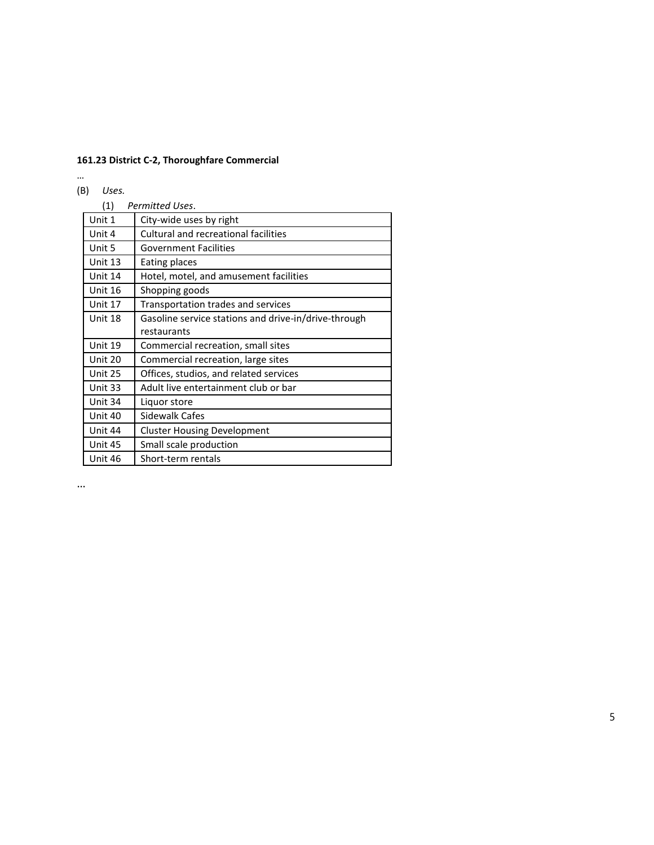# **161.23 District C-2, Thoroughfare Commercial**

# … (B) *Uses.*

| (1)     | Permitted Uses.                                      |
|---------|------------------------------------------------------|
| Unit 1  | City-wide uses by right                              |
| Unit 4  | Cultural and recreational facilities                 |
| Unit 5  | <b>Government Facilities</b>                         |
| Unit 13 | Eating places                                        |
| Unit 14 | Hotel, motel, and amusement facilities               |
| Unit 16 | Shopping goods                                       |
| Unit 17 | Transportation trades and services                   |
| Unit 18 | Gasoline service stations and drive-in/drive-through |
|         | restaurants                                          |
| Unit 19 | Commercial recreation, small sites                   |
| Unit 20 | Commercial recreation, large sites                   |
| Unit 25 | Offices, studios, and related services               |
| Unit 33 | Adult live entertainment club or bar                 |
| Unit 34 | Liquor store                                         |
| Unit 40 | Sidewalk Cafes                                       |
| Unit 44 | <b>Cluster Housing Development</b>                   |
| Unit 45 | Small scale production                               |
| Unit 46 | Short-term rentals                                   |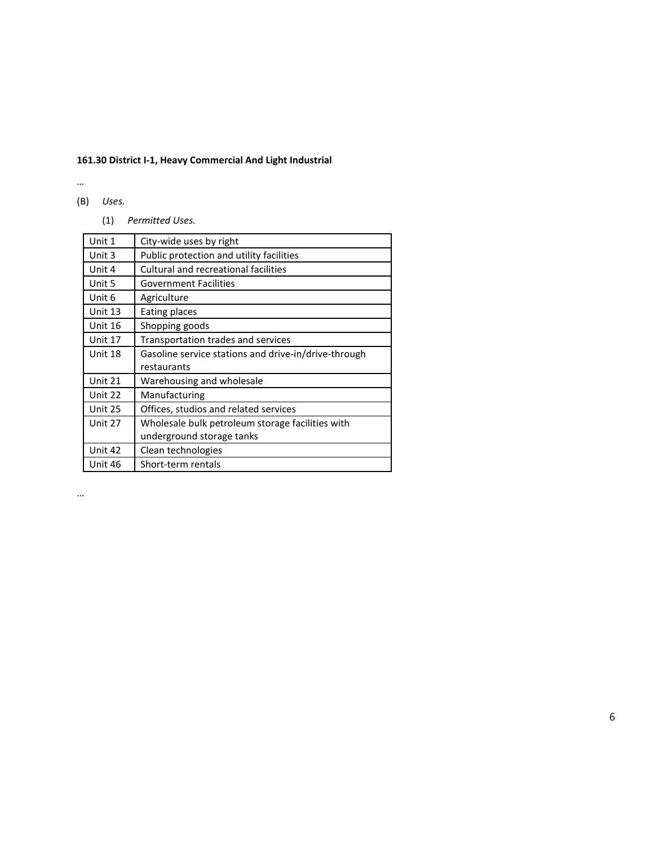# **161.30 District I-1, Heavy Commercial And Light Industrial**

…

- (B) *Uses.*
	- (1) *Permitted Uses.*

| Unit 1  | City-wide uses by right                              |
|---------|------------------------------------------------------|
| Unit 3  | Public protection and utility facilities             |
| Unit 4  | Cultural and recreational facilities                 |
| Unit 5  | <b>Government Facilities</b>                         |
| Unit 6  | Agriculture                                          |
| Unit 13 | Eating places                                        |
| Unit 16 | Shopping goods                                       |
| Unit 17 | Transportation trades and services                   |
| Unit 18 | Gasoline service stations and drive-in/drive-through |
|         | restaurants                                          |
| Unit 21 | Warehousing and wholesale                            |
| Unit 22 | Manufacturing                                        |
| Unit 25 | Offices, studios and related services                |
| Unit 27 | Wholesale bulk petroleum storage facilities with     |
|         | underground storage tanks                            |
| Unit 42 | Clean technologies                                   |
| Unit 46 | Short-term rentals                                   |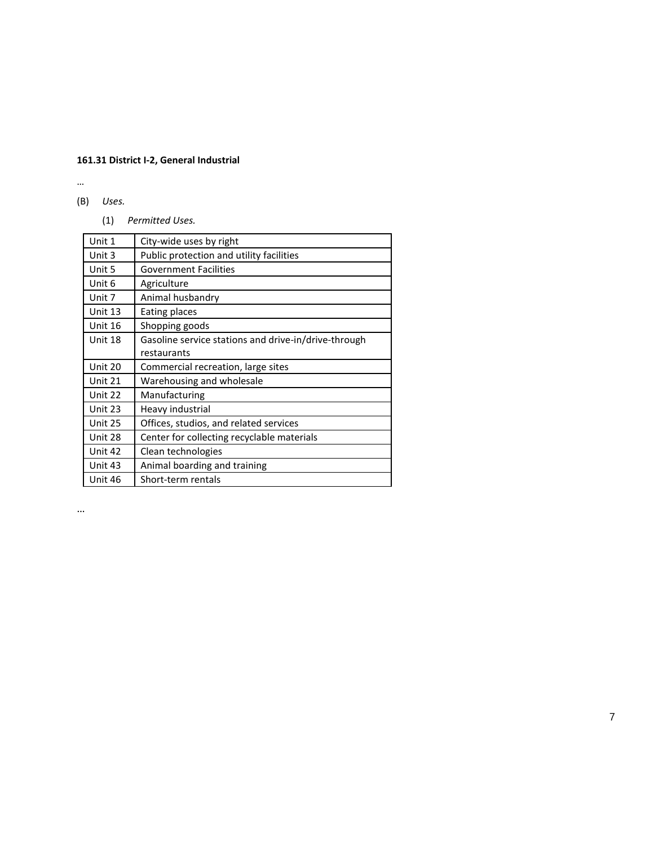# **161.31 District I-2, General Industrial**

…

- (B) *Uses.*
	- (1) *Permitted Uses.*

| Unit 1  | City-wide uses by right                              |
|---------|------------------------------------------------------|
| Unit 3  | Public protection and utility facilities             |
| Unit 5  | <b>Government Facilities</b>                         |
| Unit 6  | Agriculture                                          |
| Unit 7  | Animal husbandry                                     |
| Unit 13 | Eating places                                        |
| Unit 16 | Shopping goods                                       |
| Unit 18 | Gasoline service stations and drive-in/drive-through |
|         | restaurants                                          |
| Unit 20 | Commercial recreation, large sites                   |
| Unit 21 | Warehousing and wholesale                            |
| Unit 22 | Manufacturing                                        |
| Unit 23 | Heavy industrial                                     |
| Unit 25 | Offices, studios, and related services               |
| Unit 28 | Center for collecting recyclable materials           |
| Unit 42 | Clean technologies                                   |
| Unit 43 | Animal boarding and training                         |
| Unit 46 | Short-term rentals                                   |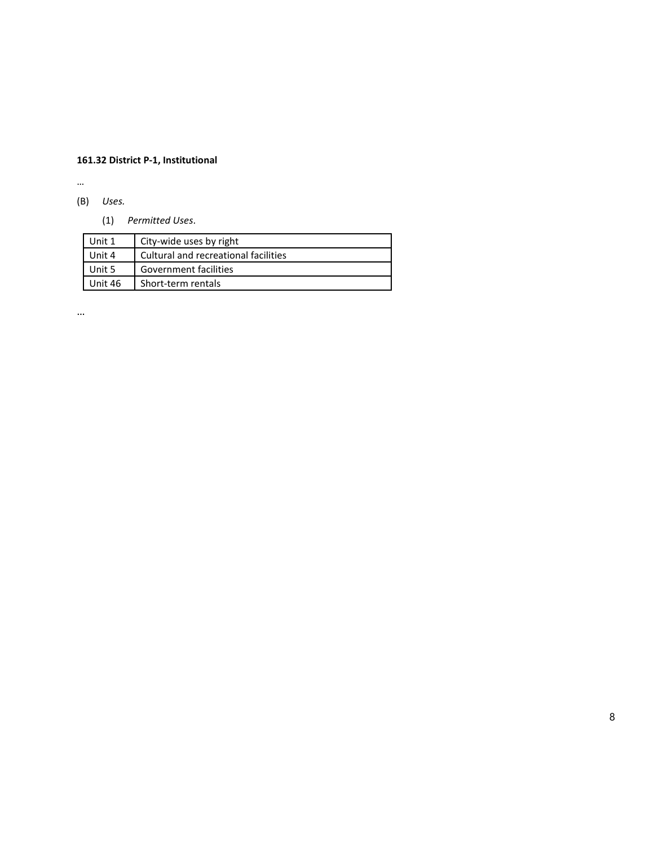# **161.32 District P-1, Institutional**

…

- (B) *Uses.*
	- (1) *Permitted Uses*.

| Unit 1  | City-wide uses by right              |
|---------|--------------------------------------|
| Unit 4  | Cultural and recreational facilities |
| Unit 5  | Government facilities                |
| Unit 46 | Short-term rentals                   |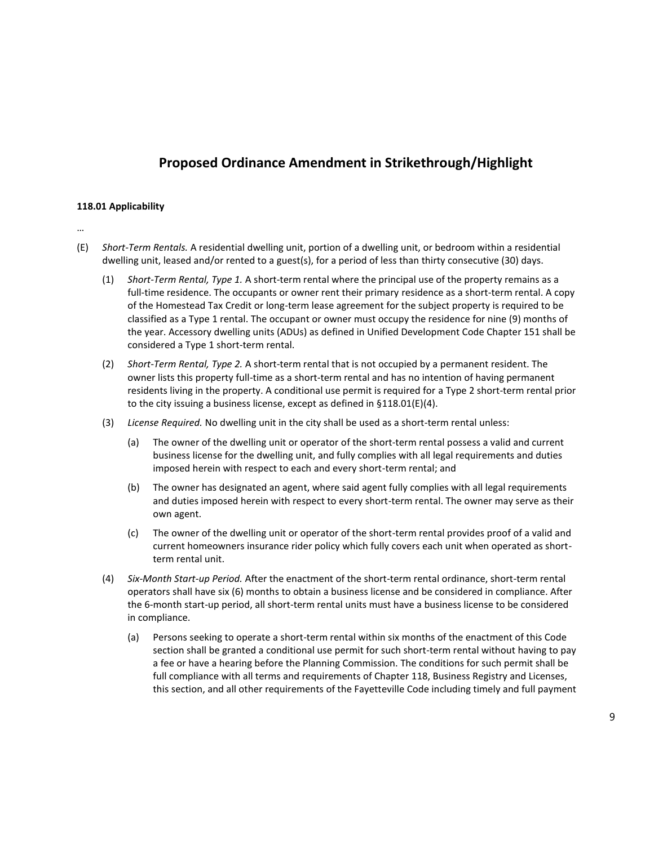# **Proposed Ordinance Amendment in Strikethrough/Highlight**

### **118.01 Applicability**

- (E) *Short-Term Rentals.* A residential dwelling unit, portion of a dwelling unit, or bedroom within a residential dwelling unit, leased and/or rented to a guest(s), for a period of less than thirty consecutive (30) days.
	- (1) *Short-Term Rental, Type 1.* A short-term rental where the principal use of the property remains as a full-time residence. The occupants or owner rent their primary residence as a short-term rental. A copy of the Homestead Tax Credit or long-term lease agreement for the subject property is required to be classified as a Type 1 rental. The occupant or owner must occupy the residence for nine (9) months of the year. Accessory dwelling units (ADUs) as defined in Unified Development Code Chapter 151 shall be considered a Type 1 short-term rental.
	- (2) *Short-Term Rental, Type 2.* A short-term rental that is not occupied by a permanent resident. The owner lists this property full-time as a short-term rental and has no intention of having permanent residents living in the property. A conditional use permit is required for a Type 2 short-term rental prior to the city issuing a business license, except as defined in §118.01(E)(4).
	- (3) *License Required.* No dwelling unit in the city shall be used as a short-term rental unless:
		- (a) The owner of the dwelling unit or operator of the short-term rental possess a valid and current business license for the dwelling unit, and fully complies with all legal requirements and duties imposed herein with respect to each and every short-term rental; and
		- (b) The owner has designated an agent, where said agent fully complies with all legal requirements and duties imposed herein with respect to every short-term rental. The owner may serve as their own agent.
		- (c) The owner of the dwelling unit or operator of the short-term rental provides proof of a valid and current homeowners insurance rider policy which fully covers each unit when operated as shortterm rental unit.
	- (4) *Six-Month Start-up Period.* After the enactment of the short-term rental ordinance, short-term rental operators shall have six (6) months to obtain a business license and be considered in compliance. After the 6-month start-up period, all short-term rental units must have a business license to be considered in compliance.
		- (a) Persons seeking to operate a short-term rental within six months of the enactment of this Code section shall be granted a conditional use permit for such short-term rental without having to pay a fee or have a hearing before the Planning Commission. The conditions for such permit shall be full compliance with all terms and requirements of Chapter 118, Business Registry and Licenses, this section, and all other requirements of the Fayetteville Code including timely and full payment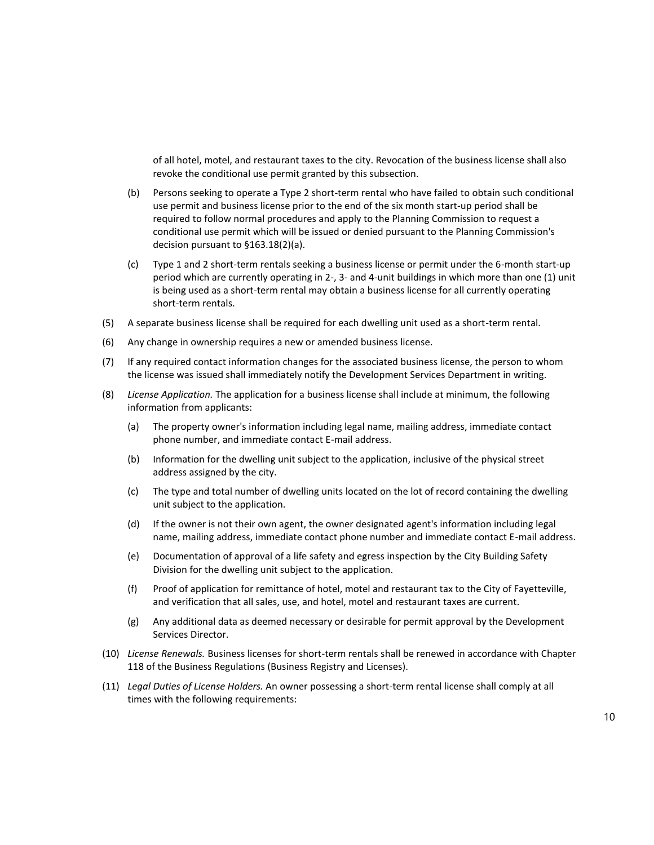of all hotel, motel, and restaurant taxes to the city. Revocation of the business license shall also revoke the conditional use permit granted by this subsection.

- (b) Persons seeking to operate a Type 2 short-term rental who have failed to obtain such conditional use permit and business license prior to the end of the six month start-up period shall be required to follow normal procedures and apply to the Planning Commission to request a conditional use permit which will be issued or denied pursuant to the Planning Commission's decision pursuant to §163.18(2)(a).
- (c) Type 1 and 2 short-term rentals seeking a business license or permit under the 6-month start-up period which are currently operating in 2-, 3- and 4-unit buildings in which more than one (1) unit is being used as a short-term rental may obtain a business license for all currently operating short-term rentals.
- (5) A separate business license shall be required for each dwelling unit used as a short-term rental.
- (6) Any change in ownership requires a new or amended business license.
- (7) If any required contact information changes for the associated business license, the person to whom the license was issued shall immediately notify the Development Services Department in writing.
- (8) *License Application.* The application for a business license shall include at minimum, the following information from applicants:
	- (a) The property owner's information including legal name, mailing address, immediate contact phone number, and immediate contact E-mail address.
	- (b) Information for the dwelling unit subject to the application, inclusive of the physical street address assigned by the city.
	- (c) The type and total number of dwelling units located on the lot of record containing the dwelling unit subject to the application.
	- (d) If the owner is not their own agent, the owner designated agent's information including legal name, mailing address, immediate contact phone number and immediate contact E-mail address.
	- (e) Documentation of approval of a life safety and egress inspection by the City Building Safety Division for the dwelling unit subject to the application.
	- (f) Proof of application for remittance of hotel, motel and restaurant tax to the City of Fayetteville, and verification that all sales, use, and hotel, motel and restaurant taxes are current.
	- (g) Any additional data as deemed necessary or desirable for permit approval by the Development Services Director.
- (10) *License Renewals.* Business licenses for short-term rentals shall be renewed in accordance with Chapter 118 of the Business Regulations (Business Registry and Licenses).
- (11) *Legal Duties of License Holders.* An owner possessing a short-term rental license shall comply at all times with the following requirements: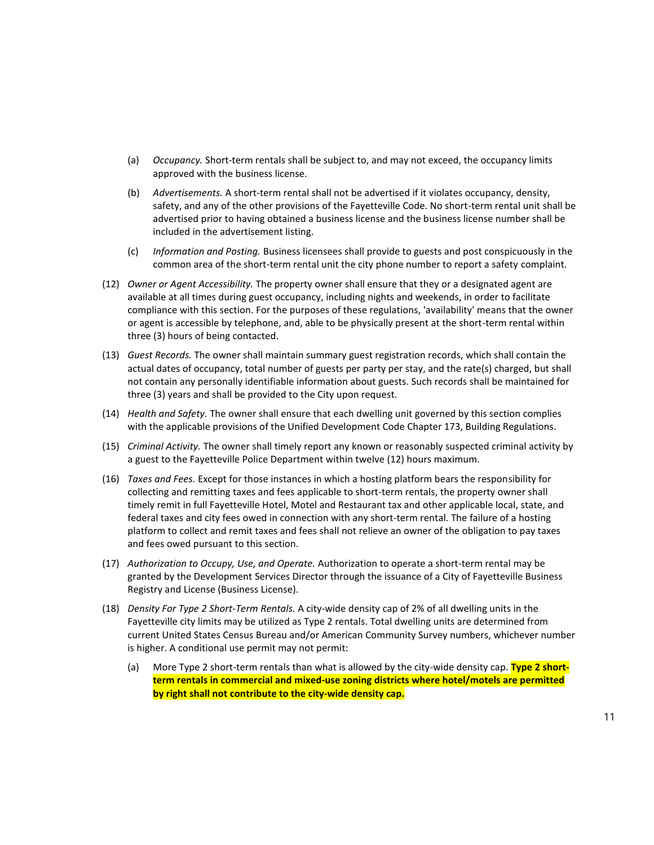- (a) *Occupancy.* Short-term rentals shall be subject to, and may not exceed, the occupancy limits approved with the business license.
- (b) *Advertisements.* A short-term rental shall not be advertised if it violates occupancy, density, safety, and any of the other provisions of the Fayetteville Code. No short-term rental unit shall be advertised prior to having obtained a business license and the business license number shall be included in the advertisement listing.
- (c) *Information and Posting.* Business licensees shall provide to guests and post conspicuously in the common area of the short-term rental unit the city phone number to report a safety complaint.
- (12) *Owner or Agent Accessibility.* The property owner shall ensure that they or a designated agent are available at all times during guest occupancy, including nights and weekends, in order to facilitate compliance with this section. For the purposes of these regulations, 'availability' means that the owner or agent is accessible by telephone, and, able to be physically present at the short-term rental within three (3) hours of being contacted.
- (13) *Guest Records.* The owner shall maintain summary guest registration records, which shall contain the actual dates of occupancy, total number of guests per party per stay, and the rate(s) charged, but shall not contain any personally identifiable information about guests. Such records shall be maintained for three (3) years and shall be provided to the City upon request.
- (14) *Health and Safety.* The owner shall ensure that each dwelling unit governed by this section complies with the applicable provisions of the Unified Development Code Chapter 173, Building Regulations.
- (15) *Criminal Activity.* The owner shall timely report any known or reasonably suspected criminal activity by a guest to the Fayetteville Police Department within twelve (12) hours maximum.
- (16) *Taxes and Fees.* Except for those instances in which a hosting platform bears the responsibility for collecting and remitting taxes and fees applicable to short-term rentals, the property owner shall timely remit in full Fayetteville Hotel, Motel and Restaurant tax and other applicable local, state, and federal taxes and city fees owed in connection with any short-term rental. The failure of a hosting platform to collect and remit taxes and fees shall not relieve an owner of the obligation to pay taxes and fees owed pursuant to this section.
- (17) *Authorization to Occupy, Use, and Operate.* Authorization to operate a short-term rental may be granted by the Development Services Director through the issuance of a City of Fayetteville Business Registry and License (Business License).
- (18) *Density For Type 2 Short-Term Rentals.* A city-wide density cap of 2% of all dwelling units in the Fayetteville city limits may be utilized as Type 2 rentals. Total dwelling units are determined from current United States Census Bureau and/or American Community Survey numbers, whichever number is higher. A conditional use permit may not permit:
	- (a) More Type 2 short-term rentals than what is allowed by the city-wide density cap. **Type 2 shortterm rentals in commercial and mixed-use zoning districts where hotel/motels are permitted by right shall not contribute to the city-wide density cap.**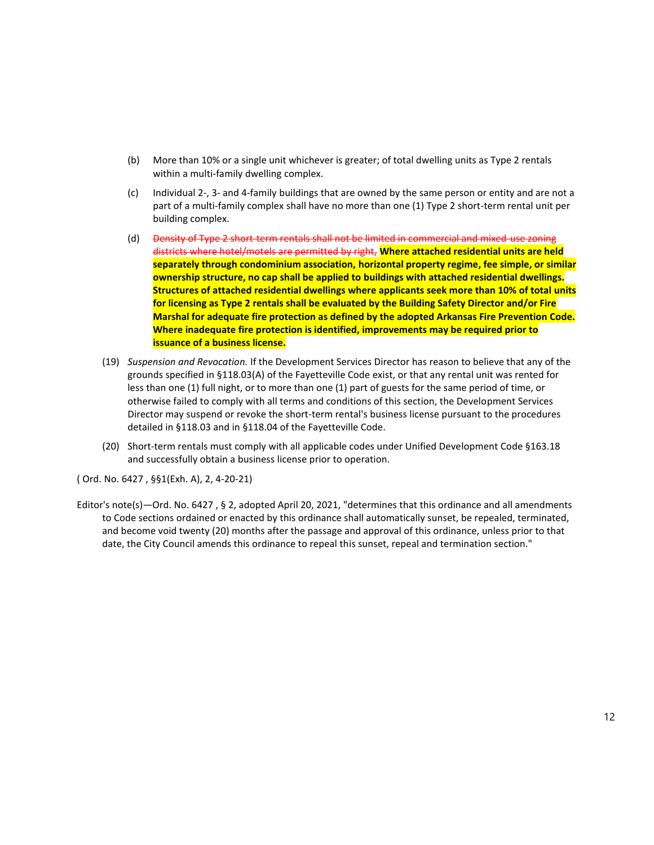- (b) More than 10% or a single unit whichever is greater; of total dwelling units as Type 2 rentals within a multi-family dwelling complex.
- (c) Individual 2-, 3- and 4-family buildings that are owned by the same person or entity and are not a part of a multi-family complex shall have no more than one (1) Type 2 short-term rental unit per building complex.
- (d) Density of Type 2 short-term rentals shall not be limited in commercial and mixed-use zoning districts where hotel/motels are permitted by right, **Where attached residential units are held separately through condominium association, horizontal property regime, fee simple, or similar ownership structure, no cap shall be applied to buildings with attached residential dwellings. Structures of attached residential dwellings where applicants seek more than 10% of total units for licensing as Type 2 rentals shall be evaluated by the Building Safety Director and/or Fire Marshal for adequate fire protection as defined by the adopted Arkansas Fire Prevention Code. Where inadequate fire protection is identified, improvements may be required prior to issuance of a business license.**
- (19) *Suspension and Revocation.* If the Development Services Director has reason to believe that any of the grounds specified in §118.03(A) of the Fayetteville Code exist, or that any rental unit was rented for less than one (1) full night, or to more than one (1) part of guests for the same period of time, or otherwise failed to comply with all terms and conditions of this section, the Development Services Director may suspend or revoke the short-term rental's business license pursuant to the procedures detailed in §118.03 and in §118.04 of the Fayetteville Code.
- (20) Short-term rentals must comply with all applicable codes under Unified Development Code §163.18 and successfully obtain a business license prior to operation.

( Ord. No. 6427 , §§1(Exh. A), 2, 4-20-21)

Editor's note(s)—Ord. No. 6427 , § 2, adopted April 20, 2021, "determines that this ordinance and all amendments to Code sections ordained or enacted by this ordinance shall automatically sunset, be repealed, terminated, and become void twenty (20) months after the passage and approval of this ordinance, unless prior to that date, the City Council amends this ordinance to repeal this sunset, repeal and termination section."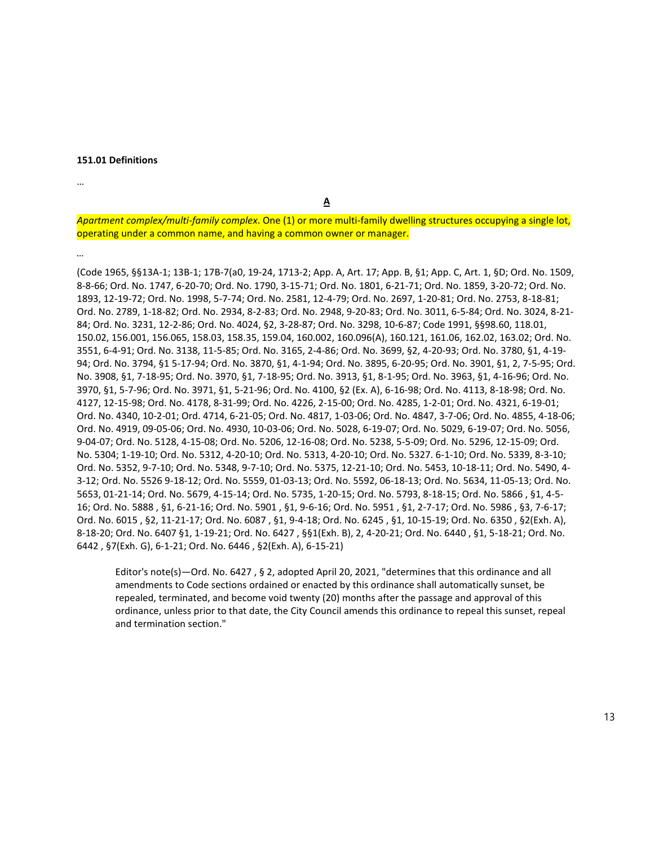#### **151.01 Definitions**

…

**A**

*Apartment complex/multi-family complex*. One (1) or more multi-family dwelling structures occupying a single lot, operating under a common name, and having a common owner or manager.

*…*

(Code 1965, §§13A-1; 13B-1; 17B-7(a0, 19-24, 1713-2; App. A, Art. 17; App. B, §1; App. C, Art. 1, §D; Ord. No. 1509, 8-8-66; Ord. No. 1747, 6-20-70; Ord. No. 1790, 3-15-71; Ord. No. 1801, 6-21-71; Ord. No. 1859, 3-20-72; Ord. No. 1893, 12-19-72; Ord. No. 1998, 5-7-74; Ord. No. 2581, 12-4-79; Ord. No. 2697, 1-20-81; Ord. No. 2753, 8-18-81; Ord. No. 2789, 1-18-82; Ord. No. 2934, 8-2-83; Ord. No. 2948, 9-20-83; Ord. No. 3011, 6-5-84; Ord. No. 3024, 8-21- 84; Ord. No. 3231, 12-2-86; Ord. No. 4024, §2, 3-28-87; Ord. No. 3298, 10-6-87; Code 1991, §§98.60, 118.01, 150.02, 156.001, 156.065, 158.03, 158.35, 159.04, 160.002, 160.096(A), 160.121, 161.06, 162.02, 163.02; Ord. No. 3551, 6-4-91; Ord. No. 3138, 11-5-85; Ord. No. 3165, 2-4-86; Ord. No. 3699, §2, 4-20-93; Ord. No. 3780, §1, 4-19- 94; Ord. No. 3794, §1 5-17-94; Ord. No. 3870, §1, 4-1-94; Ord. No. 3895, 6-20-95; Ord. No. 3901, §1, 2, 7-5-95; Ord. No. 3908, §1, 7-18-95; Ord. No. 3970, §1, 7-18-95; Ord. No. 3913, §1, 8-1-95; Ord. No. 3963, §1, 4-16-96; Ord. No. 3970, §1, 5-7-96; Ord. No. 3971, §1, 5-21-96; Ord. No. 4100, §2 (Ex. A), 6-16-98; Ord. No. 4113, 8-18-98; Ord. No. 4127, 12-15-98; Ord. No. 4178, 8-31-99; Ord. No. 4226, 2-15-00; Ord. No. 4285, 1-2-01; Ord. No. 4321, 6-19-01; Ord. No. 4340, 10-2-01; Ord. 4714, 6-21-05; Ord. No. 4817, 1-03-06; Ord. No. 4847, 3-7-06; Ord. No. 4855, 4-18-06; Ord. No. 4919, 09-05-06; Ord. No. 4930, 10-03-06; Ord. No. 5028, 6-19-07; Ord. No. 5029, 6-19-07; Ord. No. 5056, 9-04-07; Ord. No. 5128, 4-15-08; Ord. No. 5206, 12-16-08; Ord. No. 5238, 5-5-09; Ord. No. 5296, 12-15-09; Ord. No. 5304; 1-19-10; Ord. No. 5312, 4-20-10; Ord. No. 5313, 4-20-10; Ord. No. 5327. 6-1-10; Ord. No. 5339, 8-3-10; Ord. No. 5352, 9-7-10; Ord. No. 5348, 9-7-10; Ord. No. 5375, 12-21-10; Ord. No. 5453, 10-18-11; Ord. No. 5490, 4- 3-12; Ord. No. 5526 9-18-12; Ord. No. 5559, 01-03-13; Ord. No. 5592, 06-18-13; Ord. No. 5634, 11-05-13; Ord. No. 5653, 01-21-14; Ord. No. 5679, 4-15-14; Ord. No. 5735, 1-20-15; Ord. No. 5793, 8-18-15; Ord. No. 5866 , §1, 4-5- 16; Ord. No. 5888 , §1, 6-21-16; Ord. No. 5901 , §1, 9-6-16; Ord. No. 5951 , §1, 2-7-17; Ord. No. 5986 , §3, 7-6-17; Ord. No. 6015 , §2, 11-21-17; Ord. No. 6087 , §1, 9-4-18; Ord. No. 6245 , §1, 10-15-19; Ord. No. 6350 , §2(Exh. A), 8-18-20; Ord. No. 6407 §1, 1-19-21; Ord. No. 6427 , §§1(Exh. B), 2, 4-20-21; Ord. No. 6440 , §1, 5-18-21; Ord. No. 6442 , §7(Exh. G), 6-1-21; Ord. No. 6446 , §2(Exh. A), 6-15-21)

Editor's note(s)—Ord. No. 6427 , § 2, adopted April 20, 2021, "determines that this ordinance and all amendments to Code sections ordained or enacted by this ordinance shall automatically sunset, be repealed, terminated, and become void twenty (20) months after the passage and approval of this ordinance, unless prior to that date, the City Council amends this ordinance to repeal this sunset, repeal and termination section."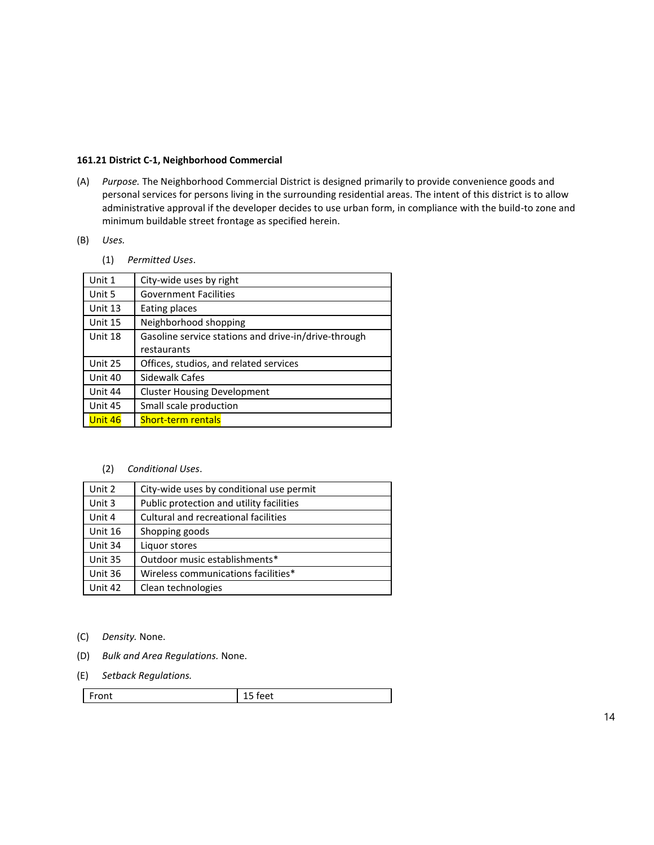## **161.21 District C-1, Neighborhood Commercial**

(A) *Purpose.* The Neighborhood Commercial District is designed primarily to provide convenience goods and personal services for persons living in the surrounding residential areas. The intent of this district is to allow administrative approval if the developer decides to use urban form, in compliance with the build-to zone and minimum buildable street frontage as specified herein.

## (B) *Uses.*

(1) *Permitted Uses*.

| Unit 1  | City-wide uses by right                              |
|---------|------------------------------------------------------|
| Unit 5  | <b>Government Facilities</b>                         |
| Unit 13 | Eating places                                        |
| Unit 15 | Neighborhood shopping                                |
| Unit 18 | Gasoline service stations and drive-in/drive-through |
|         | restaurants                                          |
| Unit 25 | Offices, studios, and related services               |
| Unit 40 | Sidewalk Cafes                                       |
| Unit 44 | <b>Cluster Housing Development</b>                   |
| Unit 45 | Small scale production                               |
| Unit 46 | <b>Short-term rentals</b>                            |
|         |                                                      |

### (2) *Conditional Uses*.

| Unit 2  | City-wide uses by conditional use permit |
|---------|------------------------------------------|
| Unit 3  | Public protection and utility facilities |
| Unit 4  | Cultural and recreational facilities     |
| Unit 16 | Shopping goods                           |
| Unit 34 | Liquor stores                            |
| Unit 35 | Outdoor music establishments*            |
| Unit 36 | Wireless communications facilities*      |
| Unit 42 | Clean technologies                       |

- (C) *Density.* None.
- (D) *Bulk and Area Regulations.* None.
- (E) *Setback Regulations.*

| Front | eet- |
|-------|------|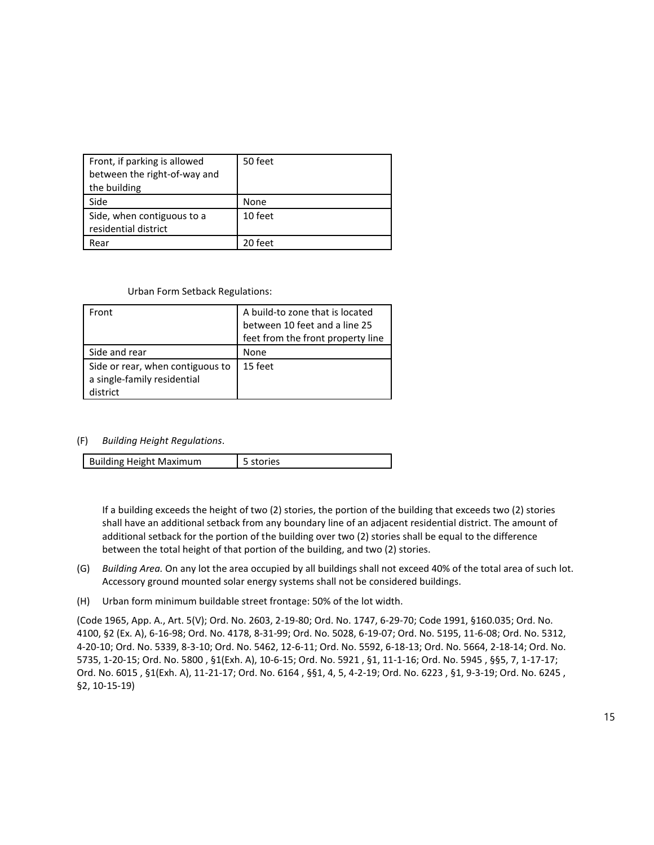| Front, if parking is allowed                       | 50 feet |
|----------------------------------------------------|---------|
| between the right-of-way and                       |         |
| the building                                       |         |
| Side                                               | None    |
| Side, when contiguous to a<br>residential district | 10 feet |
| Rear                                               | 20 feet |

### Urban Form Setback Regulations:

| Front                            | A build-to zone that is located<br>between 10 feet and a line 25 |
|----------------------------------|------------------------------------------------------------------|
|                                  | feet from the front property line                                |
|                                  |                                                                  |
| Side and rear                    | None                                                             |
| Side or rear, when contiguous to | 15 feet                                                          |
| a single-family residential      |                                                                  |
| district                         |                                                                  |

### (F) *Building Height Regulations*.

| <b>Building Height Maximum</b><br>5 stories |
|---------------------------------------------|
|---------------------------------------------|

If a building exceeds the height of two (2) stories, the portion of the building that exceeds two (2) stories shall have an additional setback from any boundary line of an adjacent residential district. The amount of additional setback for the portion of the building over two (2) stories shall be equal to the difference between the total height of that portion of the building, and two (2) stories.

- (G) *Building Area.* On any lot the area occupied by all buildings shall not exceed 40% of the total area of such lot. Accessory ground mounted solar energy systems shall not be considered buildings.
- (H) Urban form minimum buildable street frontage: 50% of the lot width.

(Code 1965, App. A., Art. 5(V); Ord. No. 2603, 2-19-80; Ord. No. 1747, 6-29-70; Code 1991, §160.035; Ord. No. 4100, §2 (Ex. A), 6-16-98; Ord. No. 4178, 8-31-99; Ord. No. 5028, 6-19-07; Ord. No. 5195, 11-6-08; Ord. No. 5312, 4-20-10; Ord. No. 5339, 8-3-10; Ord. No. 5462, 12-6-11; Ord. No. 5592, 6-18-13; Ord. No. 5664, 2-18-14; Ord. No. 5735, 1-20-15; Ord. No. 5800 , §1(Exh. A), 10-6-15; Ord. No. 5921 , §1, 11-1-16; Ord. No. 5945 , §§5, 7, 1-17-17; Ord. No. 6015 , §1(Exh. A), 11-21-17; Ord. No. 6164 , §§1, 4, 5, 4-2-19; Ord. No. 6223 , §1, 9-3-19; Ord. No. 6245 , §2, 10-15-19)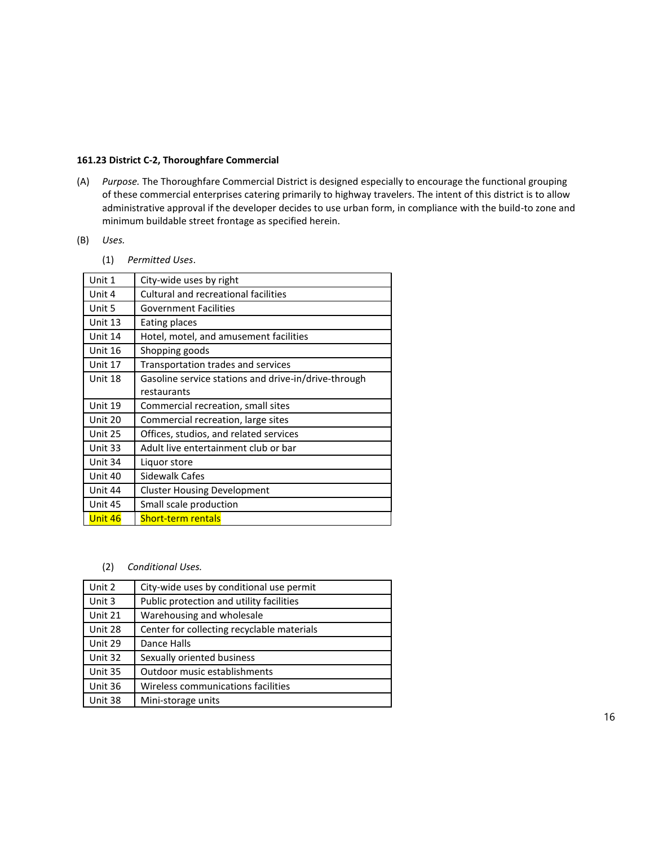## **161.23 District C-2, Thoroughfare Commercial**

(A) *Purpose.* The Thoroughfare Commercial District is designed especially to encourage the functional grouping of these commercial enterprises catering primarily to highway travelers. The intent of this district is to allow administrative approval if the developer decides to use urban form, in compliance with the build-to zone and minimum buildable street frontage as specified herein.

# (B) *Uses.*

(1) *Permitted Uses*.

| Unit 1  | City-wide uses by right                              |
|---------|------------------------------------------------------|
| Unit 4  | <b>Cultural and recreational facilities</b>          |
| Unit 5  | <b>Government Facilities</b>                         |
| Unit 13 | Eating places                                        |
| Unit 14 | Hotel, motel, and amusement facilities               |
| Unit 16 | Shopping goods                                       |
| Unit 17 | Transportation trades and services                   |
| Unit 18 | Gasoline service stations and drive-in/drive-through |
|         | restaurants                                          |
|         |                                                      |
| Unit 19 | Commercial recreation, small sites                   |
| Unit 20 | Commercial recreation, large sites                   |
| Unit 25 | Offices, studios, and related services               |
| Unit 33 | Adult live entertainment club or bar                 |
| Unit 34 | Liquor store                                         |
| Unit 40 | Sidewalk Cafes                                       |
| Unit 44 | <b>Cluster Housing Development</b>                   |
| Unit 45 | Small scale production                               |
| Unit 46 | <b>Short-term rentals</b>                            |

(2) *Conditional Uses.*

| Unit 2  | City-wide uses by conditional use permit   |
|---------|--------------------------------------------|
| Unit 3  | Public protection and utility facilities   |
| Unit 21 | Warehousing and wholesale                  |
| Unit 28 | Center for collecting recyclable materials |
| Unit 29 | Dance Halls                                |
| Unit 32 | Sexually oriented business                 |
| Unit 35 | Outdoor music establishments               |
| Unit 36 | Wireless communications facilities         |
| Unit 38 | Mini-storage units                         |
|         |                                            |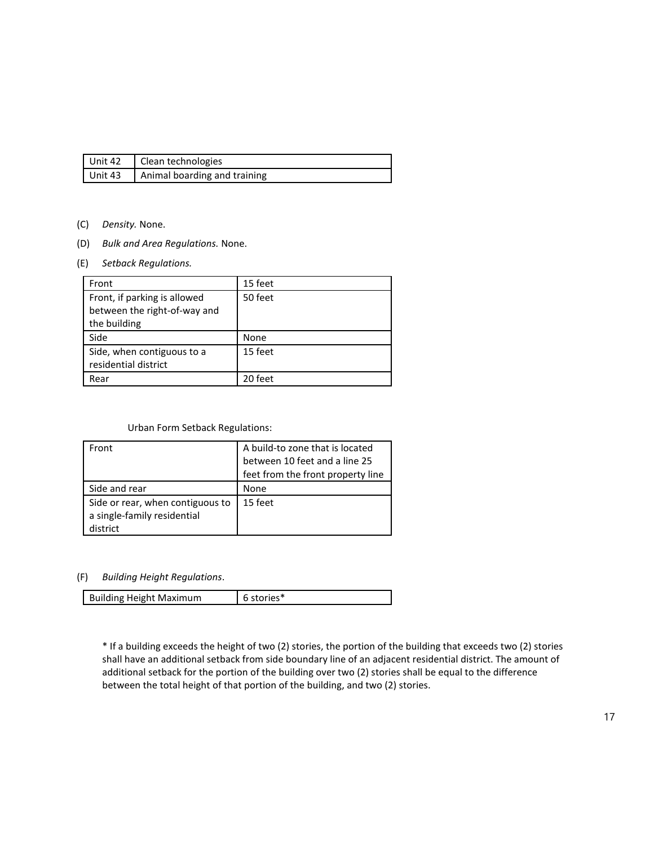| $\blacksquare$ Unit 42 | Clean technologies           |
|------------------------|------------------------------|
| Unit 43                | Animal boarding and training |

- (C) *Density.* None.
- (D) *Bulk and Area Regulations.* None.
- (E) *Setback Regulations.*

| Front                                                                        | 15 feet |
|------------------------------------------------------------------------------|---------|
| Front, if parking is allowed<br>between the right-of-way and<br>the building | 50 feet |
| Side                                                                         | None    |
| Side, when contiguous to a<br>residential district                           | 15 feet |
| Rear                                                                         | 20 feet |

### Urban Form Setback Regulations:

| Front                                                           | A build-to zone that is located   |
|-----------------------------------------------------------------|-----------------------------------|
|                                                                 | between 10 feet and a line 25     |
|                                                                 | feet from the front property line |
| Side and rear                                                   | None                              |
| Side or rear, when contiguous to<br>a single-family residential | 15 feet                           |
| listrict                                                        |                                   |

## (F) *Building Height Regulations*.

| <b>Building Height Maximum</b> | 6 stories* |
|--------------------------------|------------|

\* If a building exceeds the height of two (2) stories, the portion of the building that exceeds two (2) stories shall have an additional setback from side boundary line of an adjacent residential district. The amount of additional setback for the portion of the building over two (2) stories shall be equal to the difference between the total height of that portion of the building, and two (2) stories.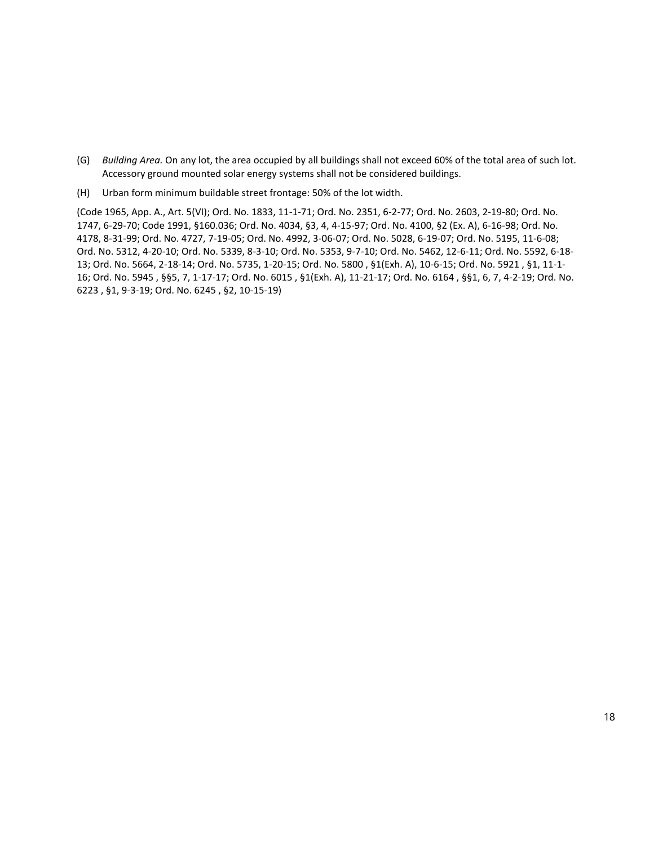- (G) *Building Area.* On any lot, the area occupied by all buildings shall not exceed 60% of the total area of such lot. Accessory ground mounted solar energy systems shall not be considered buildings.
- (H) Urban form minimum buildable street frontage: 50% of the lot width.

(Code 1965, App. A., Art. 5(VI); Ord. No. 1833, 11-1-71; Ord. No. 2351, 6-2-77; Ord. No. 2603, 2-19-80; Ord. No. 1747, 6-29-70; Code 1991, §160.036; Ord. No. 4034, §3, 4, 4-15-97; Ord. No. 4100, §2 (Ex. A), 6-16-98; Ord. No. 4178, 8-31-99; Ord. No. 4727, 7-19-05; Ord. No. 4992, 3-06-07; Ord. No. 5028, 6-19-07; Ord. No. 5195, 11-6-08; Ord. No. 5312, 4-20-10; Ord. No. 5339, 8-3-10; Ord. No. 5353, 9-7-10; Ord. No. 5462, 12-6-11; Ord. No. 5592, 6-18- 13; Ord. No. 5664, 2-18-14; Ord. No. 5735, 1-20-15; Ord. No. 5800 , §1(Exh. A), 10-6-15; Ord. No. 5921 , §1, 11-1- 16; Ord. No. 5945 , §§5, 7, 1-17-17; Ord. No. 6015 , §1(Exh. A), 11-21-17; Ord. No. 6164 , §§1, 6, 7, 4-2-19; Ord. No. 6223 , §1, 9-3-19; Ord. No. 6245 , §2, 10-15-19)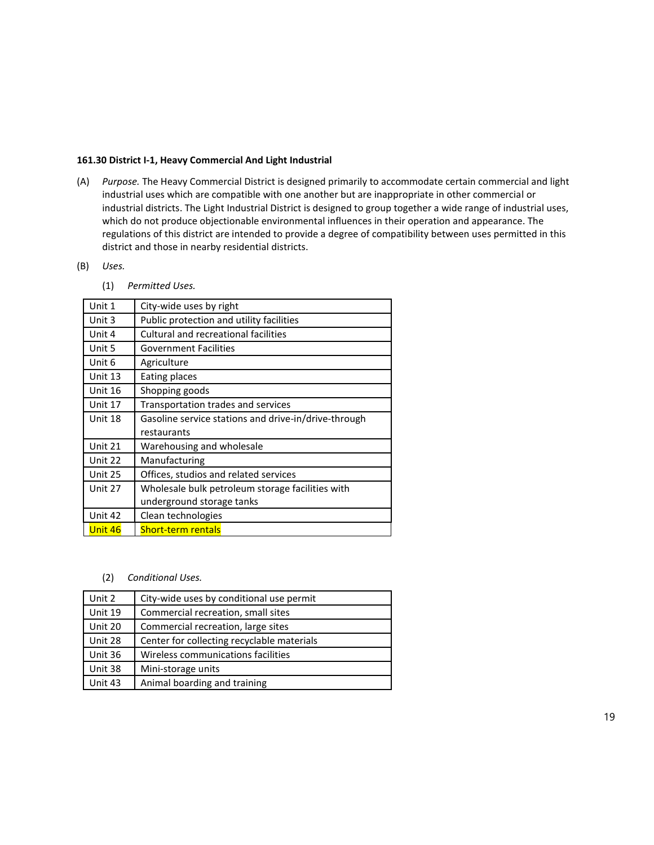## **161.30 District I-1, Heavy Commercial And Light Industrial**

(A) *Purpose.* The Heavy Commercial District is designed primarily to accommodate certain commercial and light industrial uses which are compatible with one another but are inappropriate in other commercial or industrial districts. The Light Industrial District is designed to group together a wide range of industrial uses, which do not produce objectionable environmental influences in their operation and appearance. The regulations of this district are intended to provide a degree of compatibility between uses permitted in this district and those in nearby residential districts.

## (B) *Uses.*

(1) *Permitted Uses.*

| Unit 1  | City-wide uses by right                              |
|---------|------------------------------------------------------|
| Unit 3  | Public protection and utility facilities             |
| Unit 4  | Cultural and recreational facilities                 |
| Unit 5  | <b>Government Facilities</b>                         |
| Unit 6  | Agriculture                                          |
| Unit 13 | Eating places                                        |
| Unit 16 | Shopping goods                                       |
| Unit 17 | Transportation trades and services                   |
| Unit 18 | Gasoline service stations and drive-in/drive-through |
|         | restaurants                                          |
| Unit 21 | Warehousing and wholesale                            |
| Unit 22 | Manufacturing                                        |
| Unit 25 | Offices, studios and related services                |
| Unit 27 | Wholesale bulk petroleum storage facilities with     |
|         | underground storage tanks                            |
| Unit 42 | Clean technologies                                   |
| Unit 46 | <b>Short-term rentals</b>                            |

### (2) *Conditional Uses.*

| Unit 2  | City-wide uses by conditional use permit   |
|---------|--------------------------------------------|
| Unit 19 | Commercial recreation, small sites         |
| Unit 20 | Commercial recreation, large sites         |
| Unit 28 | Center for collecting recyclable materials |
| Unit 36 | Wireless communications facilities         |
| Unit 38 | Mini-storage units                         |
| Unit 43 | Animal boarding and training               |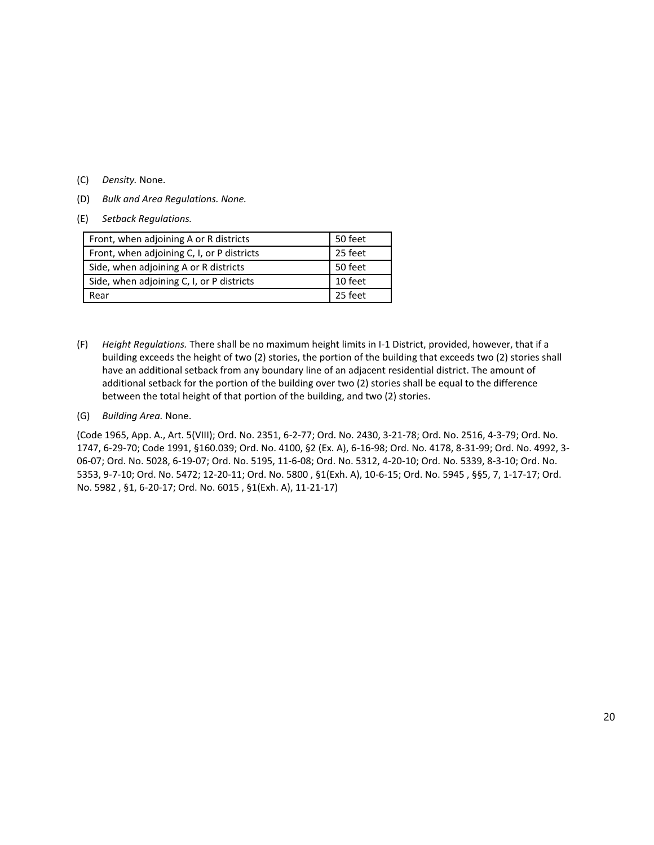- (C) *Density.* None.
- (D) *Bulk and Area Regulations. None.*
- (E) *Setback Regulations.*

| Front, when adjoining A or R districts     | 50 feet |
|--------------------------------------------|---------|
| Front, when adjoining C, I, or P districts | 25 feet |
| Side, when adjoining A or R districts      | 50 feet |
| Side, when adjoining C, I, or P districts  | 10 feet |
| Rear                                       | 25 feet |

- (F) *Height Regulations.* There shall be no maximum height limits in I-1 District, provided, however, that if a building exceeds the height of two (2) stories, the portion of the building that exceeds two (2) stories shall have an additional setback from any boundary line of an adjacent residential district. The amount of additional setback for the portion of the building over two (2) stories shall be equal to the difference between the total height of that portion of the building, and two (2) stories.
- (G) *Building Area.* None.

(Code 1965, App. A., Art. 5(VIII); Ord. No. 2351, 6-2-77; Ord. No. 2430, 3-21-78; Ord. No. 2516, 4-3-79; Ord. No. 1747, 6-29-70; Code 1991, §160.039; Ord. No. 4100, §2 (Ex. A), 6-16-98; Ord. No. 4178, 8-31-99; Ord. No. 4992, 3- 06-07; Ord. No. 5028, 6-19-07; Ord. No. 5195, 11-6-08; Ord. No. 5312, 4-20-10; Ord. No. 5339, 8-3-10; Ord. No. 5353, 9-7-10; Ord. No. 5472; 12-20-11; Ord. No. 5800 , §1(Exh. A), 10-6-15; Ord. No. 5945 , §§5, 7, 1-17-17; Ord. No. 5982 , §1, 6-20-17; Ord. No. 6015 , §1(Exh. A), 11-21-17)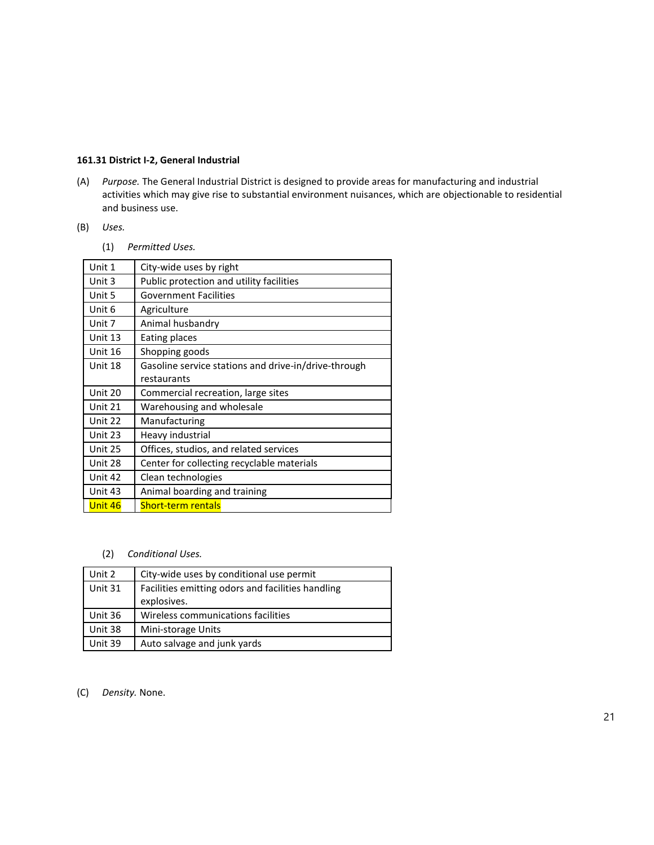### **161.31 District I-2, General Industrial**

(A) *Purpose.* The General Industrial District is designed to provide areas for manufacturing and industrial activities which may give rise to substantial environment nuisances, which are objectionable to residential and business use.

# (B) *Uses.*

(1) *Permitted Uses.*

| Unit 1  | City-wide uses by right                              |
|---------|------------------------------------------------------|
| Unit 3  | Public protection and utility facilities             |
| Unit 5  | <b>Government Facilities</b>                         |
| Unit 6  | Agriculture                                          |
| Unit 7  | Animal husbandry                                     |
| Unit 13 | Eating places                                        |
| Unit 16 | Shopping goods                                       |
| Unit 18 | Gasoline service stations and drive-in/drive-through |
|         | restaurants                                          |
| Unit 20 | Commercial recreation, large sites                   |
| Unit 21 | Warehousing and wholesale                            |
| Unit 22 | Manufacturing                                        |
| Unit 23 | Heavy industrial                                     |
| Unit 25 | Offices, studios, and related services               |
| Unit 28 | Center for collecting recyclable materials           |
| Unit 42 | Clean technologies                                   |
| Unit 43 | Animal boarding and training                         |
| Unit 46 | <b>Short-term rentals</b>                            |

## (2) *Conditional Uses.*

| Unit 2  | City-wide uses by conditional use permit          |
|---------|---------------------------------------------------|
| Unit 31 | Facilities emitting odors and facilities handling |
|         | explosives.                                       |
| Unit 36 | Wireless communications facilities                |
| Unit 38 | Mini-storage Units                                |
| Unit 39 | Auto salvage and junk yards                       |

(C) *Density.* None.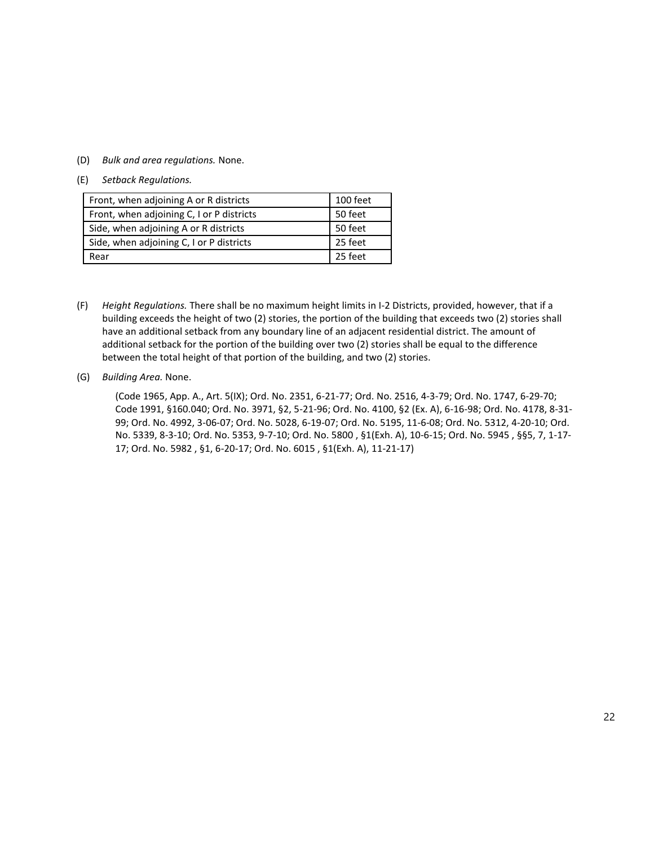(D) *Bulk and area regulations.* None.

### (E) *Setback Regulations.*

| Front, when adjoining A or R districts    | 100 feet |
|-------------------------------------------|----------|
| Front, when adjoining C, I or P districts | 50 feet  |
| Side, when adjoining A or R districts     | 50 feet  |
| Side, when adjoining C, I or P districts  | 25 feet  |
| Rear                                      | 25 feet  |

(F) *Height Regulations.* There shall be no maximum height limits in I-2 Districts, provided, however, that if a building exceeds the height of two (2) stories, the portion of the building that exceeds two (2) stories shall have an additional setback from any boundary line of an adjacent residential district. The amount of additional setback for the portion of the building over two (2) stories shall be equal to the difference between the total height of that portion of the building, and two (2) stories.

### (G) *Building Area.* None.

(Code 1965, App. A., Art. 5(IX); Ord. No. 2351, 6-21-77; Ord. No. 2516, 4-3-79; Ord. No. 1747, 6-29-70; Code 1991, §160.040; Ord. No. 3971, §2, 5-21-96; Ord. No. 4100, §2 (Ex. A), 6-16-98; Ord. No. 4178, 8-31- 99; Ord. No. 4992, 3-06-07; Ord. No. 5028, 6-19-07; Ord. No. 5195, 11-6-08; Ord. No. 5312, 4-20-10; Ord. No. 5339, 8-3-10; Ord. No. 5353, 9-7-10; Ord. No. 5800 , §1(Exh. A), 10-6-15; Ord. No. 5945 , §§5, 7, 1-17- 17; Ord. No. 5982 , §1, 6-20-17; Ord. No. 6015 , §1(Exh. A), 11-21-17)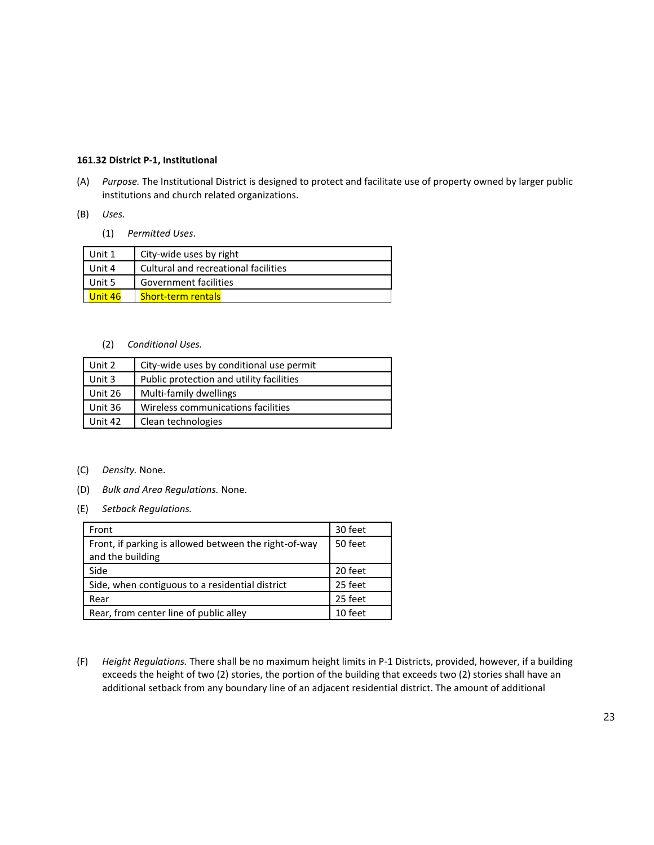### **161.32 District P-1, Institutional**

- (A) *Purpose.* The Institutional District is designed to protect and facilitate use of property owned by larger public institutions and church related organizations.
- (B) *Uses.*
	- (1) *Permitted Uses*.

| Unit 1  | City-wide uses by right              |
|---------|--------------------------------------|
| Unit 4  | Cultural and recreational facilities |
| Unit 5  | Government facilities                |
| Unit 46 | <b>Short-term rentals</b>            |

(2) *Conditional Uses.*

| Unit 2  | City-wide uses by conditional use permit |
|---------|------------------------------------------|
| Unit 3  | Public protection and utility facilities |
| Unit 26 | Multi-family dwellings                   |
| Unit 36 | Wireless communications facilities       |
| Unit 42 | Clean technologies                       |

- (C) *Density.* None.
- (D) *Bulk and Area Regulations.* None.
- (E) *Setback Regulations.*

| Front                                                                     | 30 feet |
|---------------------------------------------------------------------------|---------|
| Front, if parking is allowed between the right-of-way<br>and the building | 50 feet |
| Side                                                                      | 20 feet |
| Side, when contiguous to a residential district                           | 25 feet |
| Rear                                                                      | 25 feet |
| Rear, from center line of public alley                                    | 10 feet |

(F) *Height Regulations.* There shall be no maximum height limits in P-1 Districts, provided, however, if a building exceeds the height of two (2) stories, the portion of the building that exceeds two (2) stories shall have an additional setback from any boundary line of an adjacent residential district. The amount of additional